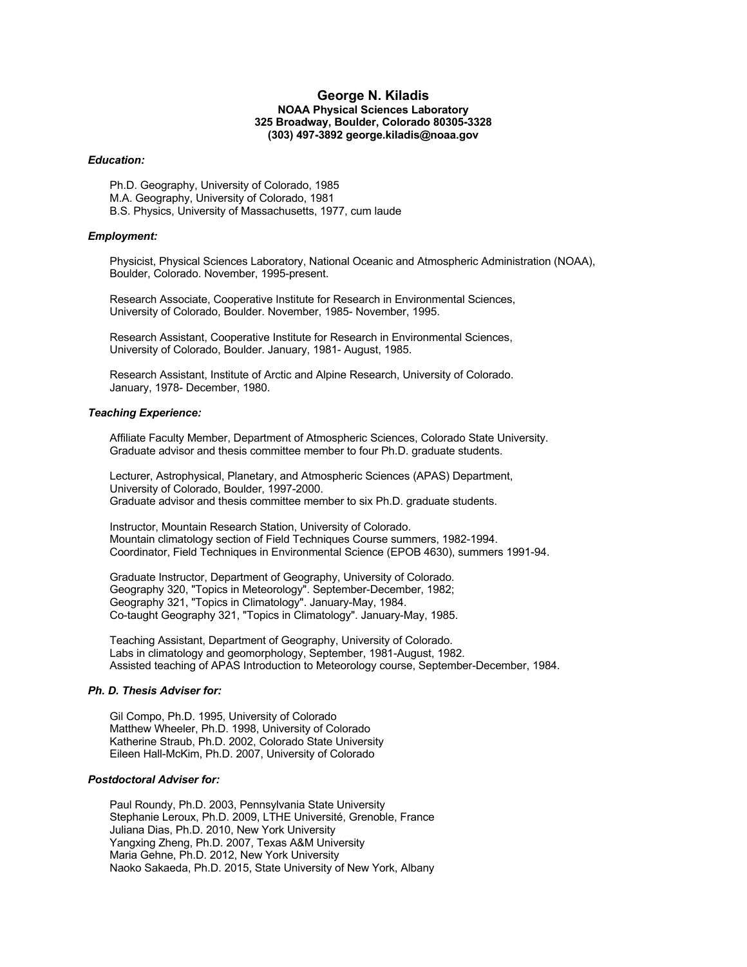# **George N. Kiladis NOAA Physical Sciences Laboratory 325 Broadway, Boulder, Colorado 80305-3328 (303) 497-3892 george.kiladis@noaa.gov**

#### *Education:*

Ph.D. Geography, University of Colorado, 1985 M.A. Geography, University of Colorado, 1981 B.S. Physics, University of Massachusetts, 1977, cum laude

## *Employment:*

Physicist, Physical Sciences Laboratory, National Oceanic and Atmospheric Administration (NOAA), Boulder, Colorado. November, 1995-present.

Research Associate, Cooperative Institute for Research in Environmental Sciences, University of Colorado, Boulder. November, 1985- November, 1995.

Research Assistant, Cooperative Institute for Research in Environmental Sciences, University of Colorado, Boulder. January, 1981- August, 1985.

Research Assistant, Institute of Arctic and Alpine Research, University of Colorado. January, 1978- December, 1980.

## *Teaching Experience:*

Affiliate Faculty Member, Department of Atmospheric Sciences, Colorado State University. Graduate advisor and thesis committee member to four Ph.D. graduate students.

Lecturer, Astrophysical, Planetary, and Atmospheric Sciences (APAS) Department, University of Colorado, Boulder, 1997-2000. Graduate advisor and thesis committee member to six Ph.D. graduate students.

Instructor, Mountain Research Station, University of Colorado. Mountain climatology section of Field Techniques Course summers, 1982-1994. Coordinator, Field Techniques in Environmental Science (EPOB 4630), summers 1991-94.

Graduate Instructor, Department of Geography, University of Colorado. Geography 320, "Topics in Meteorology". September-December, 1982; Geography 321, "Topics in Climatology". January-May, 1984. Co-taught Geography 321, "Topics in Climatology". January-May, 1985.

Teaching Assistant, Department of Geography, University of Colorado. Labs in climatology and geomorphology, September, 1981-August, 1982. Assisted teaching of APAS Introduction to Meteorology course, September-December, 1984.

# *Ph. D. Thesis Adviser for:*

Gil Compo, Ph.D. 1995, University of Colorado Matthew Wheeler, Ph.D. 1998, University of Colorado Katherine Straub, Ph.D. 2002, Colorado State University Eileen Hall-McKim, Ph.D. 2007, University of Colorado

## *Postdoctoral Adviser for:*

Paul Roundy, Ph.D. 2003, Pennsylvania State University Stephanie Leroux, Ph.D. 2009, LTHE Université, Grenoble, France Juliana Dias, Ph.D. 2010, New York University Yangxing Zheng, Ph.D. 2007, Texas A&M University Maria Gehne, Ph.D. 2012, New York University Naoko Sakaeda, Ph.D. 2015, State University of New York, Albany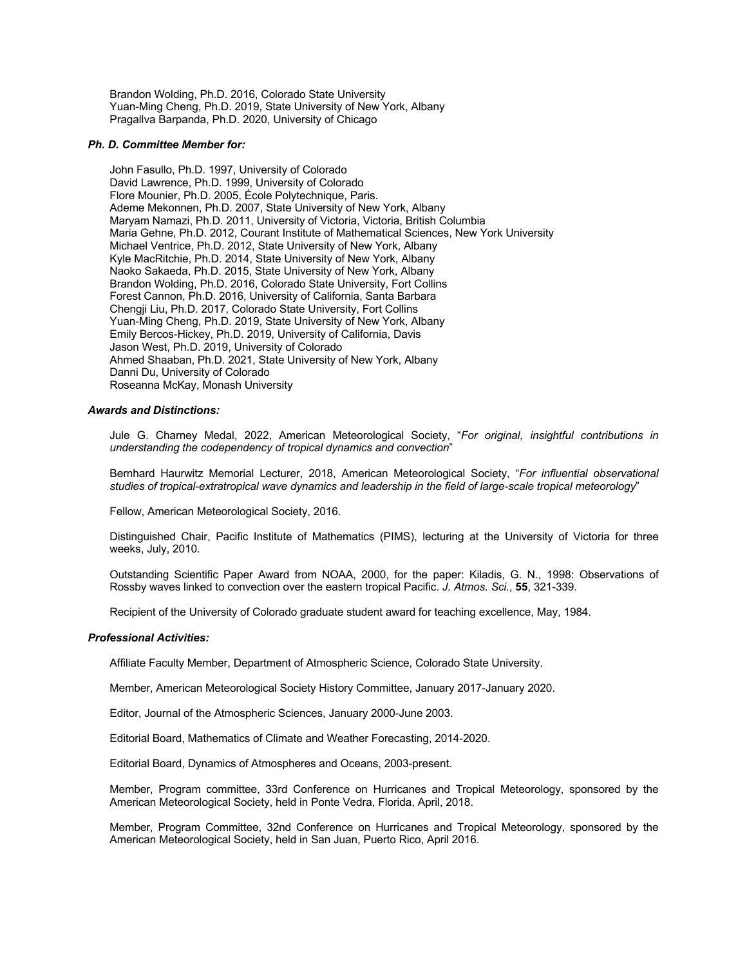Brandon Wolding, Ph.D. 2016, Colorado State University Yuan-Ming Cheng, Ph.D. 2019, State University of New York, Albany Pragallva Barpanda, Ph.D. 2020, University of Chicago

## *Ph. D. Committee Member for:*

John Fasullo, Ph.D. 1997, University of Colorado David Lawrence, Ph.D. 1999, University of Colorado Flore Mounier, Ph.D. 2005, École Polytechnique, Paris. Ademe Mekonnen, Ph.D. 2007, State University of New York, Albany Maryam Namazi, Ph.D. 2011, University of Victoria, Victoria, British Columbia Maria Gehne, Ph.D. 2012, Courant Institute of Mathematical Sciences, New York University Michael Ventrice, Ph.D. 2012, State University of New York, Albany Kyle MacRitchie, Ph.D. 2014, State University of New York, Albany Naoko Sakaeda, Ph.D. 2015, State University of New York, Albany Brandon Wolding, Ph.D. 2016, Colorado State University, Fort Collins Forest Cannon, Ph.D. 2016, University of California, Santa Barbara Chengji Liu, Ph.D. 2017, Colorado State University, Fort Collins Yuan-Ming Cheng, Ph.D. 2019, State University of New York, Albany Emily Bercos-Hickey, Ph.D. 2019, University of California, Davis Jason West, Ph.D. 2019, University of Colorado Ahmed Shaaban, Ph.D. 2021, State University of New York, Albany Danni Du, University of Colorado Roseanna McKay, Monash University

## *Awards and Distinctions:*

Jule G. Charney Medal, 2022, American Meteorological Society, "*For original, insightful contributions in understanding the codependency of tropical dynamics and convection*"

Bernhard Haurwitz Memorial Lecturer, 2018, American Meteorological Society, "*For influential observational studies of tropical-extratropical wave dynamics and leadership in the field of large-scale tropical meteorology*"

Fellow, American Meteorological Society, 2016.

Distinguished Chair, Pacific Institute of Mathematics (PIMS), lecturing at the University of Victoria for three weeks, July, 2010.

Outstanding Scientific Paper Award from NOAA, 2000, for the paper: Kiladis, G. N., 1998: Observations of Rossby waves linked to convection over the eastern tropical Pacific. *J. Atmos. Sci.*, **55**, 321-339.

Recipient of the University of Colorado graduate student award for teaching excellence, May, 1984.

## *Professional Activities:*

Affiliate Faculty Member, Department of Atmospheric Science, Colorado State University.

Member, American Meteorological Society History Committee, January 2017-January 2020.

Editor, Journal of the Atmospheric Sciences, January 2000-June 2003.

Editorial Board, Mathematics of Climate and Weather Forecasting, 2014-2020.

Editorial Board, Dynamics of Atmospheres and Oceans, 2003-present.

Member, Program committee, 33rd Conference on Hurricanes and Tropical Meteorology, sponsored by the American Meteorological Society, held in Ponte Vedra, Florida, April, 2018.

Member, Program Committee, 32nd Conference on Hurricanes and Tropical Meteorology, sponsored by the American Meteorological Society, held in San Juan, Puerto Rico, April 2016.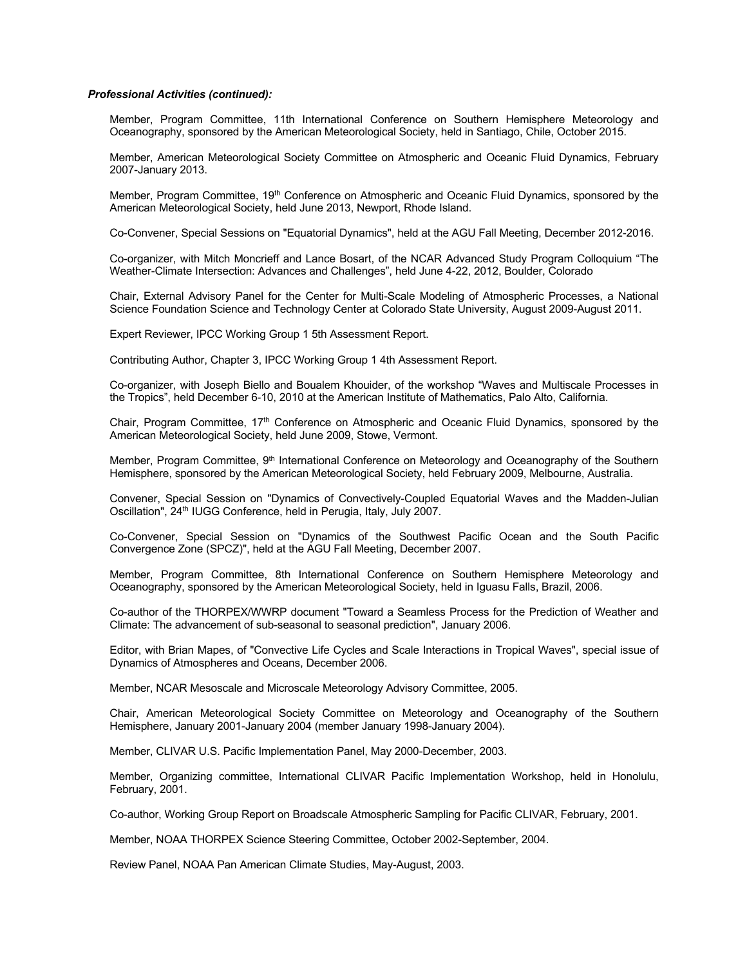## *Professional Activities (continued):*

Member, Program Committee, 11th International Conference on Southern Hemisphere Meteorology and Oceanography, sponsored by the American Meteorological Society, held in Santiago, Chile, October 2015.

Member, American Meteorological Society Committee on Atmospheric and Oceanic Fluid Dynamics, February 2007-January 2013.

Member, Program Committee, 19<sup>th</sup> Conference on Atmospheric and Oceanic Fluid Dynamics, sponsored by the American Meteorological Society, held June 2013, Newport, Rhode Island.

Co-Convener, Special Sessions on "Equatorial Dynamics", held at the AGU Fall Meeting, December 2012-2016.

Co-organizer, with Mitch Moncrieff and Lance Bosart, of the NCAR Advanced Study Program Colloquium "The Weather-Climate Intersection: Advances and Challenges", held June 4-22, 2012, Boulder, Colorado

Chair, External Advisory Panel for the Center for Multi-Scale Modeling of Atmospheric Processes, a National Science Foundation Science and Technology Center at Colorado State University, August 2009-August 2011.

Expert Reviewer, IPCC Working Group 1 5th Assessment Report.

Contributing Author, Chapter 3, IPCC Working Group 1 4th Assessment Report.

Co-organizer, with Joseph Biello and Boualem Khouider, of the workshop "Waves and Multiscale Processes in the Tropics", held December 6-10, 2010 at the American Institute of Mathematics, Palo Alto, California.

Chair, Program Committee, 17<sup>th</sup> Conference on Atmospheric and Oceanic Fluid Dynamics, sponsored by the American Meteorological Society, held June 2009, Stowe, Vermont.

Member, Program Committee, 9<sup>th</sup> International Conference on Meteorology and Oceanography of the Southern Hemisphere, sponsored by the American Meteorological Society, held February 2009, Melbourne, Australia.

Convener, Special Session on "Dynamics of Convectively-Coupled Equatorial Waves and the Madden-Julian Oscillation", 24<sup>th</sup> IUGG Conference, held in Perugia, Italy, July 2007.

Co-Convener, Special Session on "Dynamics of the Southwest Pacific Ocean and the South Pacific Convergence Zone (SPCZ)", held at the AGU Fall Meeting, December 2007.

Member, Program Committee, 8th International Conference on Southern Hemisphere Meteorology and Oceanography, sponsored by the American Meteorological Society, held in Iguasu Falls, Brazil, 2006.

Co-author of the THORPEX/WWRP document "Toward a Seamless Process for the Prediction of Weather and Climate: The advancement of sub-seasonal to seasonal prediction", January 2006.

Editor, with Brian Mapes, of "Convective Life Cycles and Scale Interactions in Tropical Waves", special issue of Dynamics of Atmospheres and Oceans, December 2006.

Member, NCAR Mesoscale and Microscale Meteorology Advisory Committee, 2005.

Chair, American Meteorological Society Committee on Meteorology and Oceanography of the Southern Hemisphere, January 2001-January 2004 (member January 1998-January 2004).

Member, CLIVAR U.S. Pacific Implementation Panel, May 2000-December, 2003.

Member, Organizing committee, International CLIVAR Pacific Implementation Workshop, held in Honolulu, February, 2001.

Co-author, Working Group Report on Broadscale Atmospheric Sampling for Pacific CLIVAR, February, 2001.

Member, NOAA THORPEX Science Steering Committee, October 2002-September, 2004.

Review Panel, NOAA Pan American Climate Studies, May-August, 2003.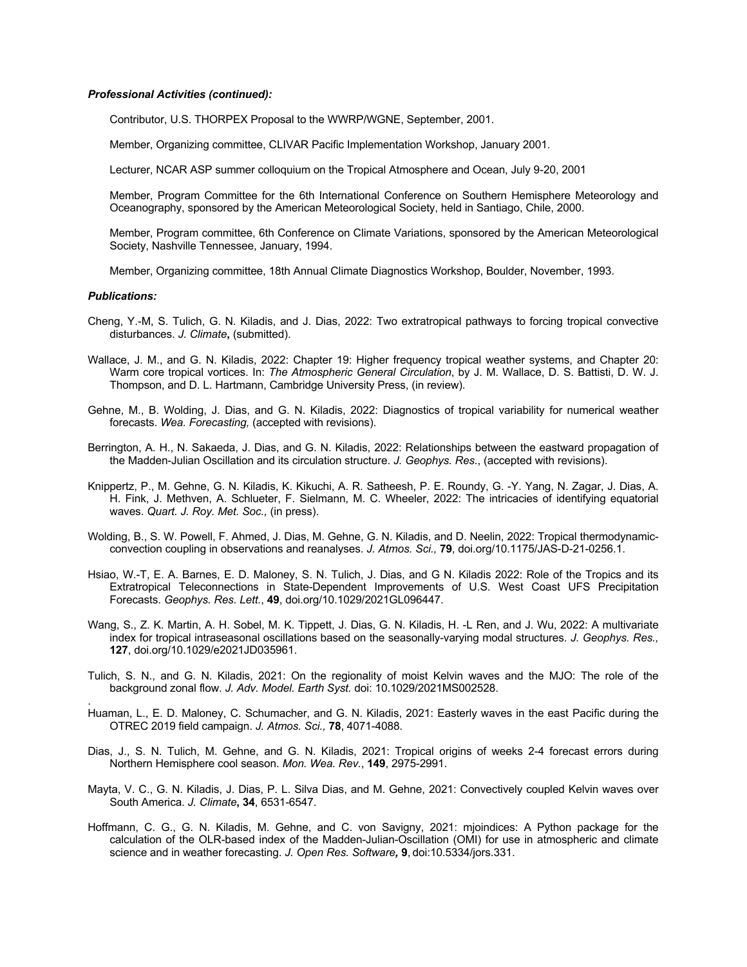## *Professional Activities (continued):*

Contributor, U.S. THORPEX Proposal to the WWRP/WGNE, September, 2001.

Member, Organizing committee, CLIVAR Pacific Implementation Workshop, January 2001.

Lecturer, NCAR ASP summer colloquium on the Tropical Atmosphere and Ocean, July 9-20, 2001

Member, Program Committee for the 6th International Conference on Southern Hemisphere Meteorology and Oceanography, sponsored by the American Meteorological Society, held in Santiago, Chile, 2000.

Member, Program committee, 6th Conference on Climate Variations, sponsored by the American Meteorological Society, Nashville Tennessee, January, 1994.

Member, Organizing committee, 18th Annual Climate Diagnostics Workshop, Boulder, November, 1993.

#### *Publications:*

.

- Cheng, Y.-M, S. Tulich, G. N. Kiladis, and J. Dias, 2022: Two extratropical pathways to forcing tropical convective disturbances. *J. Climate***,** (submitted).
- Wallace, J. M., and G. N. Kiladis, 2022: Chapter 19: Higher frequency tropical weather systems, and Chapter 20: Warm core tropical vortices. In: *The Atmospheric General Circulation*, by J. M. Wallace, D. S. Battisti, D. W. J. Thompson, and D. L. Hartmann, Cambridge University Press, (in review).
- Gehne, M., B. Wolding, J. Dias, and G. N. Kiladis, 2022: Diagnostics of tropical variability for numerical weather forecasts. *Wea. Forecasting,* (accepted with revisions).
- Berrington, A. H., N. Sakaeda, J. Dias, and G. N. Kiladis, 2022: Relationships between the eastward propagation of the Madden-Julian Oscillation and its circulation structure. *J. Geophys. Res.*, (accepted with revisions).
- Knippertz, P., M. Gehne, G. N. Kiladis, K. Kikuchi, A. R. Satheesh, P. E. Roundy, G. -Y. Yang, N. Zagar, J. Dias, A. H. Fink, J. Methven, A. Schlueter, F. Sielmann, M. C. Wheeler, 2022: The intricacies of identifying equatorial waves. *Quart. J. Roy. Met. Soc.,* (in press).
- Wolding, B., S. W. Powell, F. Ahmed, J. Dias, M. Gehne, G. N. Kiladis, and D. Neelin, 2022: Tropical thermodynamicconvection coupling in observations and reanalyses. *J. Atmos. Sci.,* **79**, doi.org/10.1175/JAS-D-21-0256.1.
- Hsiao, W.-T, E. A. Barnes, E. D. Maloney, S. N. Tulich, J. Dias, and G N. Kiladis 2022: Role of the Tropics and its Extratropical Teleconnections in State-Dependent Improvements of U.S. West Coast UFS Precipitation Forecasts. *Geophys. Res. Lett.*, **49**, doi.org/10.1029/2021GL096447.
- Wang, S., Z. K. Martin, A. H. Sobel, M. K. Tippett, J. Dias, G. N. Kiladis, H. -L Ren, and J. Wu, 2022: A multivariate index for tropical intraseasonal oscillations based on the seasonally-varying modal structures. *J. Geophys. Res.,* **127**, doi.org/10.1029/e2021JD035961.
- Tulich, S. N., and G. N. Kiladis, 2021: On the regionality of moist Kelvin waves and the MJO: The role of the background zonal flow. *J. Adv. Model. Earth Syst.* doi: 10.1029/2021MS002528.
- Huaman, L., E. D. Maloney, C. Schumacher, and G. N. Kiladis, 2021: Easterly waves in the east Pacific during the OTREC 2019 field campaign. *J. Atmos. Sci.,* **78**, 4071-4088.
- Dias, J., S. N. Tulich, M. Gehne, and G. N. Kiladis, 2021: Tropical origins of weeks 2-4 forecast errors during Northern Hemisphere cool season. *Mon. Wea. Rev.*, **149**, 2975-2991.
- Mayta, V. C., G. N. Kiladis, J. Dias, P. L. Silva Dias, and M. Gehne, 2021: Convectively coupled Kelvin waves over South America. *J. Climate***, 34**, 6531-6547.
- Hoffmann, C. G., G. N. Kiladis, M. Gehne, and C. von Savigny, 2021: mjoindices: A Python package for the calculation of the OLR-based index of the Madden-Julian-Oscillation (OMI) for use in atmospheric and climate science and in weather forecasting. *J. Open Res. Software,* **9**, doi:10.5334/jors.331.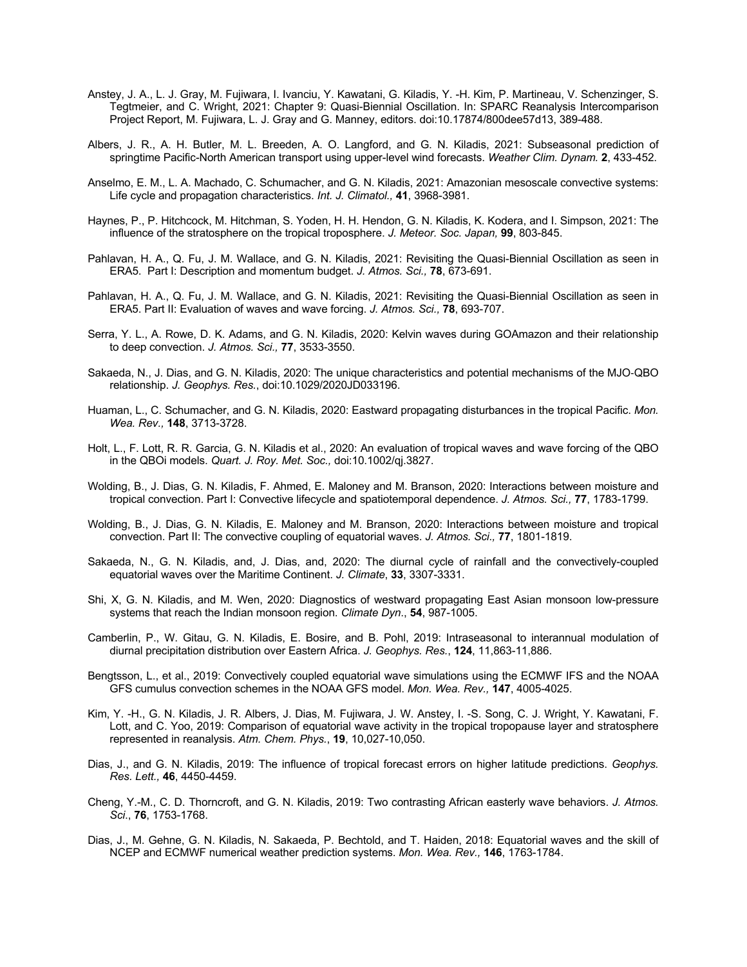- Anstey, J. A., L. J. Gray, M. Fujiwara, I. Ivanciu, Y. Kawatani, G. Kiladis, Y. -H. Kim, P. Martineau, V. Schenzinger, S. Tegtmeier, and C. Wright, 2021: Chapter 9: Quasi-Biennial Oscillation. In: SPARC Reanalysis Intercomparison Project Report, M. Fujiwara, L. J. Gray and G. Manney, editors. doi:10.17874/800dee57d13, 389-488.
- Albers, J. R., A. H. Butler, M. L. Breeden, A. O. Langford, and G. N. Kiladis, 2021: Subseasonal prediction of springtime Pacific-North American transport using upper-level wind forecasts. *Weather Clim. Dynam.* **2**, 433-452.
- Anselmo, E. M., L. A. Machado, C. Schumacher, and G. N. Kiladis, 2021: Amazonian mesoscale convective systems: Life cycle and propagation characteristics. *Int. J. Climatol.,* **41**, 3968-3981.
- Haynes, P., P. Hitchcock, M. Hitchman, S. Yoden, H. H. Hendon, G. N. Kiladis, K. Kodera, and I. Simpson, 2021: The influence of the stratosphere on the tropical troposphere. *J. Meteor. Soc. Japan,* **99**, 803-845.
- Pahlavan, H. A., Q. Fu, J. M. Wallace, and G. N. Kiladis, 2021: Revisiting the Quasi-Biennial Oscillation as seen in ERA5. Part I: Description and momentum budget. *J. Atmos. Sci.,* **78**, 673-691.
- Pahlavan, H. A., Q. Fu, J. M. Wallace, and G. N. Kiladis, 2021: Revisiting the Quasi-Biennial Oscillation as seen in ERA5. Part II: Evaluation of waves and wave forcing. *J. Atmos. Sci.,* **78**, 693-707.
- Serra, Y. L., A. Rowe, D. K. Adams, and G. N. Kiladis, 2020: Kelvin waves during GOAmazon and their relationship to deep convection. *J. Atmos. Sci.,* **77**, 3533-3550.
- Sakaeda, N., J. Dias, and G. N. Kiladis, 2020: The unique characteristics and potential mechanisms of the MJO-QBO relationship. *J. Geophys. Res.*, doi:10.1029/2020JD033196.
- Huaman, L., C. Schumacher, and G. N. Kiladis, 2020: Eastward propagating disturbances in the tropical Pacific. *Mon. Wea. Rev.,* **148**, 3713-3728.
- Holt, L., F. Lott, R. R. Garcia, G. N. Kiladis et al., 2020: An evaluation of tropical waves and wave forcing of the QBO in the QBOi models. *Quart. J. Roy. Met. Soc.,* doi:10.1002/qj.3827.
- Wolding, B., J. Dias, G. N. Kiladis, F. Ahmed, E. Maloney and M. Branson, 2020: Interactions between moisture and tropical convection. Part I: Convective lifecycle and spatiotemporal dependence. *J. Atmos. Sci.,* **77**, 1783-1799.
- Wolding, B., J. Dias, G. N. Kiladis, E. Maloney and M. Branson, 2020: Interactions between moisture and tropical convection. Part II: The convective coupling of equatorial waves. *J. Atmos. Sci.,* **77**, 1801-1819.
- Sakaeda, N., G. N. Kiladis, and, J. Dias, and, 2020: The diurnal cycle of rainfall and the convectively-coupled equatorial waves over the Maritime Continent. *J. Climate*, **33**, 3307-3331.
- Shi, X, G. N. Kiladis, and M. Wen, 2020: Diagnostics of westward propagating East Asian monsoon low-pressure systems that reach the Indian monsoon region. *Climate Dyn*., **54**, 987-1005.
- Camberlin, P., W. Gitau, G. N. Kiladis, E. Bosire, and B. Pohl, 2019: Intraseasonal to interannual modulation of diurnal precipitation distribution over Eastern Africa. *J. Geophys. Res.*, **124**, 11,863-11,886.
- Bengtsson, L., et al., 2019: Convectively coupled equatorial wave simulations using the ECMWF IFS and the NOAA GFS cumulus convection schemes in the NOAA GFS model. *Mon. Wea. Rev.,* **147**, 4005-4025.
- Kim, Y. -H., G. N. Kiladis, J. R. Albers, J. Dias, M. Fujiwara, J. W. Anstey, I. -S. Song, C. J. Wright, Y. Kawatani, F. Lott, and C. Yoo, 2019: Comparison of equatorial wave activity in the tropical tropopause layer and stratosphere represented in reanalysis. *Atm. Chem. Phys.*, **19**, 10,027-10,050.
- Dias, J., and G. N. Kiladis, 2019: The influence of tropical forecast errors on higher latitude predictions. *Geophys. Res. Lett.,* **46**, 4450-4459.
- Cheng, Y.-M., C. D. Thorncroft, and G. N. Kiladis, 2019: Two contrasting African easterly wave behaviors. *J. Atmos. Sci*., **76**, 1753-1768.
- Dias, J., M. Gehne, G. N. Kiladis, N. Sakaeda, P. Bechtold, and T. Haiden, 2018: Equatorial waves and the skill of NCEP and ECMWF numerical weather prediction systems. *Mon. Wea. Rev.,* **146**, 1763-1784.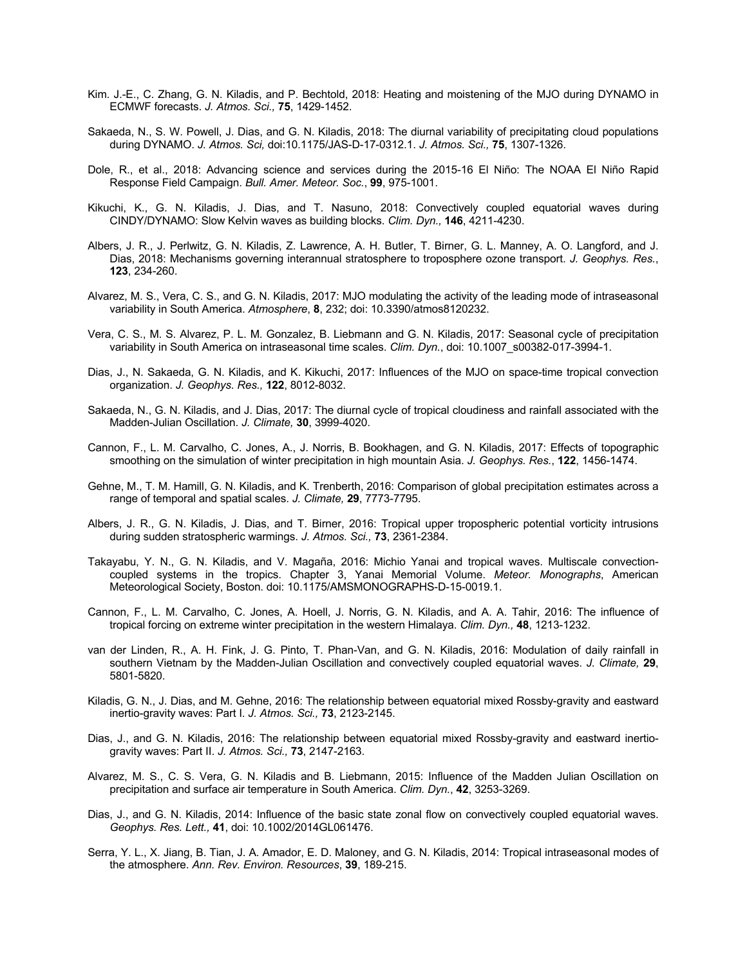- Kim. J.-E., C. Zhang, G. N. Kiladis, and P. Bechtold, 2018: Heating and moistening of the MJO during DYNAMO in ECMWF forecasts. *J. Atmos. Sci.,* **75**, 1429-1452.
- Sakaeda, N., S. W. Powell, J. Dias, and G. N. Kiladis, 2018: The diurnal variability of precipitating cloud populations during DYNAMO. *J. Atmos. Sci,* doi:10.1175/JAS-D-17-0312.1. *J. Atmos. Sci.,* **75**, 1307-1326.
- Dole, R., et al., 2018: Advancing science and services during the 2015-16 El Niño: The NOAA El Niño Rapid Response Field Campaign. *Bull. Amer. Meteor. Soc.*, **99**, 975-1001.
- Kikuchi, K., G. N. Kiladis, J. Dias, and T. Nasuno, 2018: Convectively coupled equatorial waves during CINDY/DYNAMO: Slow Kelvin waves as building blocks. *Clim. Dyn.,* **146**, 4211-4230.
- Albers, J. R., J. Perlwitz, G. N. Kiladis, Z. Lawrence, A. H. Butler, T. Birner, G. L. Manney, A. O. Langford, and J. Dias, 2018: Mechanisms governing interannual stratosphere to troposphere ozone transport. *J. Geophys. Res.*, **123**, 234-260.
- Alvarez, M. S., Vera, C. S., and G. N. Kiladis, 2017: MJO modulating the activity of the leading mode of intraseasonal variability in South America. *Atmosphere*, **8**, 232; doi: 10.3390/atmos8120232.
- Vera, C. S., M. S. Alvarez, P. L. M. Gonzalez, B. Liebmann and G. N. Kiladis, 2017: Seasonal cycle of precipitation variability in South America on intraseasonal time scales. *Clim. Dyn.*, doi: 10.1007\_s00382-017-3994-1.
- Dias, J., N. Sakaeda, G. N. Kiladis, and K. Kikuchi, 2017: Influences of the MJO on space-time tropical convection organization. *J. Geophys. Res.,* **122**, 8012-8032.
- Sakaeda, N., G. N. Kiladis, and J. Dias, 2017: The diurnal cycle of tropical cloudiness and rainfall associated with the Madden-Julian Oscillation. *J. Climate,* **30**, 3999-4020.
- Cannon, F., L. M. Carvalho, C. Jones, A., J. Norris, B. Bookhagen, and G. N. Kiladis, 2017: Effects of topographic smoothing on the simulation of winter precipitation in high mountain Asia. *J. Geophys. Res.*, **122**, 1456-1474.
- Gehne, M., T. M. Hamill, G. N. Kiladis, and K. Trenberth, 2016: Comparison of global precipitation estimates across a range of temporal and spatial scales. *J. Climate,* **29**, 7773-7795.
- Albers, J. R., G. N. Kiladis, J. Dias, and T. Birner, 2016: Tropical upper tropospheric potential vorticity intrusions during sudden stratospheric warmings. *J. Atmos. Sci.,* **73**, 2361-2384.
- Takayabu, Y. N., G. N. Kiladis, and V. Magaña, 2016: Michio Yanai and tropical waves. Multiscale convectioncoupled systems in the tropics. Chapter 3, Yanai Memorial Volume. *Meteor. Monographs*, American Meteorological Society, Boston. doi: 10.1175/AMSMONOGRAPHS-D-15-0019.1.
- Cannon, F., L. M. Carvalho, C. Jones, A. Hoell, J. Norris, G. N. Kiladis, and A. A. Tahir, 2016: The influence of tropical forcing on extreme winter precipitation in the western Himalaya. *Clim. Dyn.,* **48**, 1213-1232.
- van der Linden, R., A. H. Fink, J. G. Pinto, T. Phan-Van, and G. N. Kiladis, 2016: Modulation of daily rainfall in southern Vietnam by the Madden-Julian Oscillation and convectively coupled equatorial waves. *J. Climate,* **29**, 5801-5820.
- Kiladis, G. N., J. Dias, and M. Gehne, 2016: The relationship between equatorial mixed Rossby-gravity and eastward inertio-gravity waves: Part I. *J. Atmos. Sci.,* **73**, 2123-2145.
- Dias, J., and G. N. Kiladis, 2016: The relationship between equatorial mixed Rossby-gravity and eastward inertiogravity waves: Part II. *J. Atmos. Sci.,* **73**, 2147-2163.
- Alvarez, M. S., C. S. Vera, G. N. Kiladis and B. Liebmann, 2015: Influence of the Madden Julian Oscillation on precipitation and surface air temperature in South America. *Clim. Dyn.*, **42**, 3253-3269.
- Dias, J., and G. N. Kiladis, 2014: Influence of the basic state zonal flow on convectively coupled equatorial waves. *Geophys. Res. Lett.,* **41**, doi: 10.1002/2014GL061476.
- Serra, Y. L., X. Jiang, B. Tian, J. A. Amador, E. D. Maloney, and G. N. Kiladis, 2014: Tropical intraseasonal modes of the atmosphere. *Ann. Rev. Environ. Resources*, **39**, 189-215.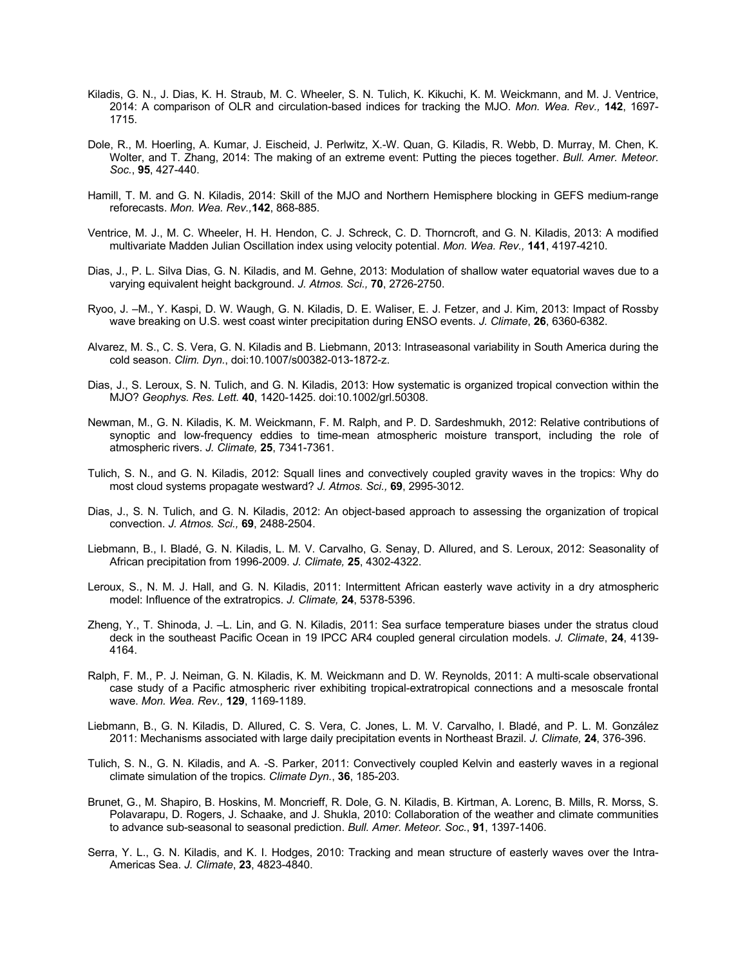- Kiladis, G. N., J. Dias, K. H. Straub, M. C. Wheeler, S. N. Tulich, K. Kikuchi, K. M. Weickmann, and M. J. Ventrice, 2014: A comparison of OLR and circulation-based indices for tracking the MJO. *Mon. Wea. Rev.,* **142**, 1697- 1715.
- Dole, R., M. Hoerling, A. Kumar, J. Eischeid, J. Perlwitz, X.-W. Quan, G. Kiladis, R. Webb, D. Murray, M. Chen, K. Wolter, and T. Zhang, 2014: The making of an extreme event: Putting the pieces together. *Bull. Amer. Meteor. Soc.*, **95**, 427-440.
- Hamill, T. M. and G. N. Kiladis, 2014: Skill of the MJO and Northern Hemisphere blocking in GEFS medium-range reforecasts. *Mon. Wea. Rev.,***142**, 868-885.
- Ventrice, M. J., M. C. Wheeler, H. H. Hendon, C. J. Schreck, C. D. Thorncroft, and G. N. Kiladis, 2013: A modified multivariate Madden Julian Oscillation index using velocity potential. *Mon. Wea. Rev.,* **141**, 4197-4210.
- Dias, J., P. L. Silva Dias, G. N. Kiladis, and M. Gehne, 2013: Modulation of shallow water equatorial waves due to a varying equivalent height background. *J. Atmos. Sci.,* **70**, 2726-2750.
- Ryoo, J. –M., Y. Kaspi, D. W. Waugh, G. N. Kiladis, D. E. Waliser, E. J. Fetzer, and J. Kim, 2013: Impact of Rossby wave breaking on U.S. west coast winter precipitation during ENSO events. *J. Climate*, **26**, 6360-6382.
- Alvarez, M. S., C. S. Vera, G. N. Kiladis and B. Liebmann, 2013: Intraseasonal variability in South America during the cold season. *Clim. Dyn.*, doi:10.1007/s00382-013-1872-z.
- Dias, J., S. Leroux, S. N. Tulich, and G. N. Kiladis, 2013: How systematic is organized tropical convection within the MJO? *Geophys. Res. Lett.* **40**, 1420-1425. doi:10.1002/grl.50308.
- Newman, M., G. N. Kiladis, K. M. Weickmann, F. M. Ralph, and P. D. Sardeshmukh, 2012: Relative contributions of synoptic and low-frequency eddies to time-mean atmospheric moisture transport, including the role of atmospheric rivers. *J. Climate,* **25**, 7341-7361.
- Tulich, S. N., and G. N. Kiladis, 2012: Squall lines and convectively coupled gravity waves in the tropics: Why do most cloud systems propagate westward? *J. Atmos. Sci.,* **69**, 2995-3012.
- Dias, J., S. N. Tulich, and G. N. Kiladis, 2012: An object-based approach to assessing the organization of tropical convection. *J. Atmos. Sci.,* **69**, 2488-2504.
- Liebmann, B., I. Bladé, G. N. Kiladis, L. M. V. Carvalho, G. Senay, D. Allured, and S. Leroux, 2012: Seasonality of African precipitation from 1996-2009. *J. Climate,* **25**, 4302-4322.
- Leroux, S., N. M. J. Hall, and G. N. Kiladis, 2011: Intermittent African easterly wave activity in a dry atmospheric model: Influence of the extratropics. *J. Climate,* **24**, 5378-5396.
- Zheng, Y., T. Shinoda, J. –L. Lin, and G. N. Kiladis, 2011: Sea surface temperature biases under the stratus cloud deck in the southeast Pacific Ocean in 19 IPCC AR4 coupled general circulation models. *J. Climate*, **24**, 4139- 4164.
- Ralph, F. M., P. J. Neiman, G. N. Kiladis, K. M. Weickmann and D. W. Reynolds, 2011: A multi-scale observational case study of a Pacific atmospheric river exhibiting tropical-extratropical connections and a mesoscale frontal wave. *Mon. Wea. Rev.,* **129**, 1169-1189.
- Liebmann, B., G. N. Kiladis, D. Allured, C. S. Vera, C. Jones, L. M. V. Carvalho, I. Bladé, and P. L. M. González 2011: Mechanisms associated with large daily precipitation events in Northeast Brazil. *J. Climate,* **24**, 376-396.
- Tulich, S. N., G. N. Kiladis, and A. -S. Parker, 2011: Convectively coupled Kelvin and easterly waves in a regional climate simulation of the tropics. *Climate Dyn.*, **36**, 185-203.
- Brunet, G., M. Shapiro, B. Hoskins, M. Moncrieff, R. Dole, G. N. Kiladis, B. Kirtman, A. Lorenc, B. Mills, R. Morss, S. Polavarapu, D. Rogers, J. Schaake, and J. Shukla, 2010: Collaboration of the weather and climate communities to advance sub-seasonal to seasonal prediction. *Bull. Amer. Meteor. Soc.*, **91**, 1397-1406.
- Serra, Y. L., G. N. Kiladis, and K. I. Hodges, 2010: Tracking and mean structure of easterly waves over the Intra-Americas Sea. *J. Climate*, **23**, 4823-4840.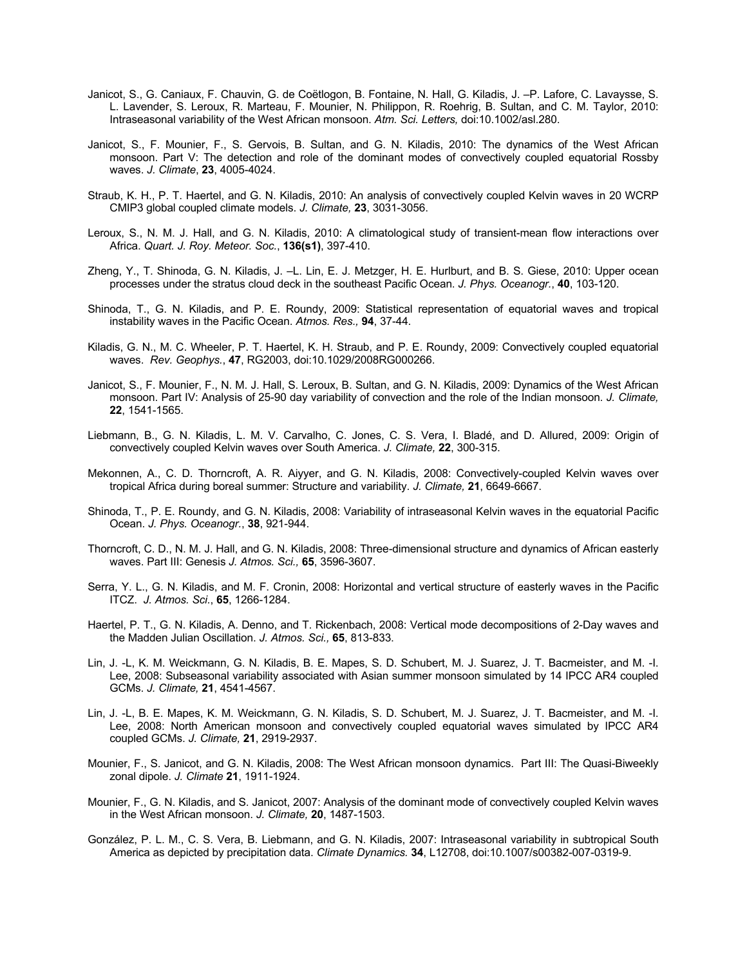- Janicot, S., G. Caniaux, F. Chauvin, G. de Coëtlogon, B. Fontaine, N. Hall, G. Kiladis, J. –P. Lafore, C. Lavaysse, S. L. Lavender, S. Leroux, R. Marteau, F. Mounier, N. Philippon, R. Roehrig, B. Sultan, and C. M. Taylor, 2010: Intraseasonal variability of the West African monsoon. *Atm. Sci. Letters,* doi:10.1002/asl.280.
- Janicot, S., F. Mounier, F., S. Gervois, B. Sultan, and G. N. Kiladis, 2010: The dynamics of the West African monsoon. Part V: The detection and role of the dominant modes of convectively coupled equatorial Rossby waves. *J. Climate*, **23**, 4005-4024.
- Straub, K. H., P. T. Haertel, and G. N. Kiladis, 2010: An analysis of convectively coupled Kelvin waves in 20 WCRP CMIP3 global coupled climate models. *J. Climate,* **23**, 3031-3056.
- Leroux, S., N. M. J. Hall, and G. N. Kiladis, 2010: A climatological study of transient-mean flow interactions over Africa. *Quart. J. Roy. Meteor. Soc.*, **136(s1)**, 397-410.
- Zheng, Y., T. Shinoda, G. N. Kiladis, J. –L. Lin, E. J. Metzger, H. E. Hurlburt, and B. S. Giese, 2010: Upper ocean processes under the stratus cloud deck in the southeast Pacific Ocean. *J. Phys. Oceanogr.*, **40**, 103-120.
- Shinoda, T., G. N. Kiladis, and P. E. Roundy, 2009: Statistical representation of equatorial waves and tropical instability waves in the Pacific Ocean. *Atmos. Res.,* **94**, 37-44.
- Kiladis, G. N., M. C. Wheeler, P. T. Haertel, K. H. Straub, and P. E. Roundy, 2009: Convectively coupled equatorial waves. *Rev. Geophys.*, **47**, RG2003, doi:10.1029/2008RG000266.
- Janicot, S., F. Mounier, F., N. M. J. Hall, S. Leroux, B. Sultan, and G. N. Kiladis, 2009: Dynamics of the West African monsoon. Part IV: Analysis of 25-90 day variability of convection and the role of the Indian monsoon. *J. Climate,* **22**, 1541-1565.
- Liebmann, B., G. N. Kiladis, L. M. V. Carvalho, C. Jones, C. S. Vera, I. Bladé, and D. Allured, 2009: Origin of convectively coupled Kelvin waves over South America. *J. Climate,* **22**, 300-315.
- Mekonnen, A., C. D. Thorncroft, A. R. Aiyyer, and G. N. Kiladis, 2008: Convectively-coupled Kelvin waves over tropical Africa during boreal summer: Structure and variability. *J. Climate,* **21**, 6649-6667.
- Shinoda, T., P. E. Roundy, and G. N. Kiladis, 2008: Variability of intraseasonal Kelvin waves in the equatorial Pacific Ocean. *J. Phys. Oceanogr.*, **38**, 921-944.
- Thorncroft, C. D., N. M. J. Hall, and G. N. Kiladis, 2008: Three-dimensional structure and dynamics of African easterly waves. Part III: Genesis *J. Atmos. Sci.,* **65**, 3596-3607.
- Serra, Y. L., G. N. Kiladis, and M. F. Cronin, 2008: Horizontal and vertical structure of easterly waves in the Pacific ITCZ. *J. Atmos. Sci.*, **65**, 1266-1284.
- Haertel, P. T., G. N. Kiladis, A. Denno, and T. Rickenbach, 2008: Vertical mode decompositions of 2-Day waves and the Madden Julian Oscillation. *J. Atmos. Sci.,* **65**, 813-833.
- Lin, J. -L, K. M. Weickmann, G. N. Kiladis, B. E. Mapes, S. D. Schubert, M. J. Suarez, J. T. Bacmeister, and M. -I. Lee, 2008: Subseasonal variability associated with Asian summer monsoon simulated by 14 IPCC AR4 coupled GCMs. *J. Climate,* **21**, 4541-4567.
- Lin, J. -L, B. E. Mapes, K. M. Weickmann, G. N. Kiladis, S. D. Schubert, M. J. Suarez, J. T. Bacmeister, and M. -I. Lee, 2008: North American monsoon and convectively coupled equatorial waves simulated by IPCC AR4 coupled GCMs. *J. Climate,* **21**, 2919-2937.
- Mounier, F., S. Janicot, and G. N. Kiladis, 2008: The West African monsoon dynamics. Part III: The Quasi-Biweekly zonal dipole. *J. Climate* **21**, 1911-1924.
- Mounier, F., G. N. Kiladis, and S. Janicot, 2007: Analysis of the dominant mode of convectively coupled Kelvin waves in the West African monsoon. *J. Climate,* **20**, 1487-1503.
- González, P. L. M., C. S. Vera, B. Liebmann, and G. N. Kiladis, 2007: Intraseasonal variability in subtropical South America as depicted by precipitation data. *Climate Dynamics.* **34**, L12708, doi:10.1007/s00382-007-0319-9.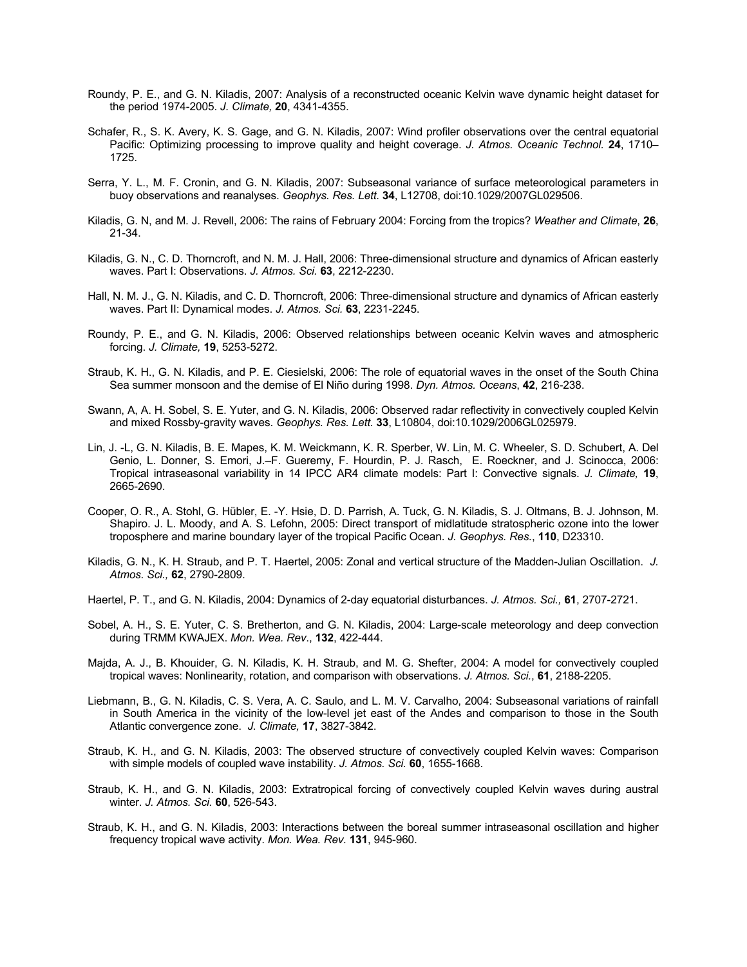- Roundy, P. E., and G. N. Kiladis, 2007: Analysis of a reconstructed oceanic Kelvin wave dynamic height dataset for the period 1974-2005. *J. Climate,* **20**, 4341-4355.
- Schafer, R., S. K. Avery, K. S. Gage, and G. N. Kiladis, 2007: Wind profiler observations over the central equatorial Pacific: Optimizing processing to improve quality and height coverage. *J. Atmos. Oceanic Technol.* **24**, 1710– 1725.
- Serra, Y. L., M. F. Cronin, and G. N. Kiladis, 2007: Subseasonal variance of surface meteorological parameters in buoy observations and reanalyses. *Geophys. Res. Lett.* **34**, L12708, doi:10.1029/2007GL029506.
- Kiladis, G. N, and M. J. Revell, 2006: The rains of February 2004: Forcing from the tropics? *Weather and Climate*, **26**, 21-34.
- Kiladis, G. N., C. D. Thorncroft, and N. M. J. Hall, 2006: Three-dimensional structure and dynamics of African easterly waves. Part I: Observations. *J. Atmos. Sci.* **63**, 2212-2230.
- Hall, N. M. J., G. N. Kiladis, and C. D. Thorncroft, 2006: Three-dimensional structure and dynamics of African easterly waves. Part II: Dynamical modes. *J. Atmos. Sci.* **63**, 2231-2245.
- Roundy, P. E., and G. N. Kiladis, 2006: Observed relationships between oceanic Kelvin waves and atmospheric forcing. *J. Climate,* **19**, 5253-5272.
- Straub, K. H., G. N. Kiladis, and P. E. Ciesielski, 2006: The role of equatorial waves in the onset of the South China Sea summer monsoon and the demise of El Niño during 1998. *Dyn. Atmos. Oceans*, **42**, 216-238.
- Swann, A, A. H. Sobel, S. E. Yuter, and G. N. Kiladis, 2006: Observed radar reflectivity in convectively coupled Kelvin and mixed Rossby-gravity waves. *Geophys. Res. Lett.* **33**, L10804, doi:10.1029/2006GL025979.
- Lin, J. -L, G. N. Kiladis, B. E. Mapes, K. M. Weickmann, K. R. Sperber, W. Lin, M. C. Wheeler, S. D. Schubert, A. Del Genio, L. Donner, S. Emori, J.–F. Gueremy, F. Hourdin, P. J. Rasch, E. Roeckner, and J. Scinocca, 2006: Tropical intraseasonal variability in 14 IPCC AR4 climate models: Part I: Convective signals. *J. Climate,* **19**, 2665-2690.
- Cooper, O. R., A. Stohl, G. Hübler, E. -Y. Hsie, D. D. Parrish, A. Tuck, G. N. Kiladis, S. J. Oltmans, B. J. Johnson, M. Shapiro. J. L. Moody, and A. S. Lefohn, 2005: Direct transport of midlatitude stratospheric ozone into the lower troposphere and marine boundary layer of the tropical Pacific Ocean. *J. Geophys. Res.*, **110**, D23310.
- Kiladis, G. N., K. H. Straub, and P. T. Haertel, 2005: Zonal and vertical structure of the Madden-Julian Oscillation. *J. Atmos. Sci.,* **62**, 2790-2809.
- Haertel, P. T., and G. N. Kiladis, 2004: Dynamics of 2-day equatorial disturbances. *J. Atmos. Sci.,* **61**, 2707-2721.
- Sobel, A. H., S. E. Yuter, C. S. Bretherton, and G. N. Kiladis, 2004: Large-scale meteorology and deep convection during TRMM KWAJEX. *Mon. Wea. Rev*., **132**, 422-444.
- Majda, A. J., B. Khouider, G. N. Kiladis, K. H. Straub, and M. G. Shefter, 2004: A model for convectively coupled tropical waves: Nonlinearity, rotation, and comparison with observations. *J. Atmos. Sci.*, **61**, 2188-2205.
- Liebmann, B., G. N. Kiladis, C. S. Vera, A. C. Saulo, and L. M. V. Carvalho, 2004: Subseasonal variations of rainfall in South America in the vicinity of the low-level jet east of the Andes and comparison to those in the South Atlantic convergence zone. *J. Climate,* **17**, 3827-3842.
- Straub, K. H., and G. N. Kiladis, 2003: The observed structure of convectively coupled Kelvin waves: Comparison with simple models of coupled wave instability. *J. Atmos. Sci.* **60**, 1655-1668.
- Straub, K. H., and G. N. Kiladis, 2003: Extratropical forcing of convectively coupled Kelvin waves during austral winter. *J. Atmos. Sci.* **60**, 526-543.
- Straub, K. H., and G. N. Kiladis, 2003: Interactions between the boreal summer intraseasonal oscillation and higher frequency tropical wave activity. *Mon. Wea. Rev.* **131**, 945-960.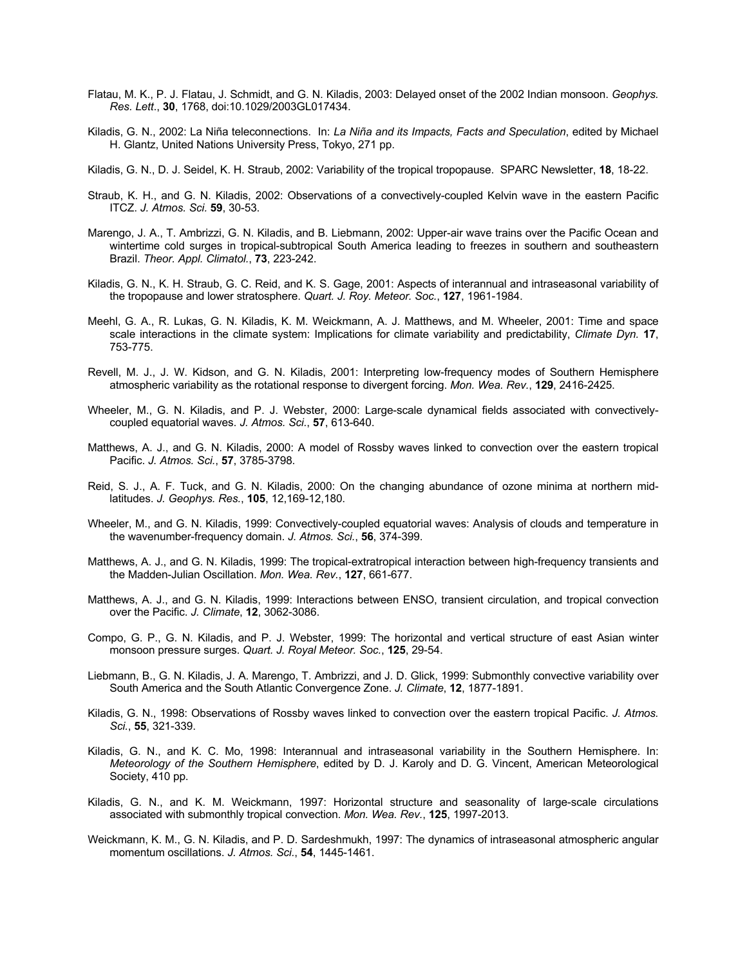- Flatau, M. K., P. J. Flatau, J. Schmidt, and G. N. Kiladis, 2003: Delayed onset of the 2002 Indian monsoon. *Geophys. Res. Lett*., **30**, 1768, doi:10.1029/2003GL017434.
- Kiladis, G. N., 2002: La Niña teleconnections. In: *La Niña and its Impacts, Facts and Speculation*, edited by Michael H. Glantz, United Nations University Press, Tokyo, 271 pp.
- Kiladis, G. N., D. J. Seidel, K. H. Straub, 2002: Variability of the tropical tropopause. SPARC Newsletter, **18**, 18-22.
- Straub, K. H., and G. N. Kiladis, 2002: Observations of a convectively-coupled Kelvin wave in the eastern Pacific ITCZ. *J. Atmos. Sci.* **59**, 30-53.
- Marengo, J. A., T. Ambrizzi, G. N. Kiladis, and B. Liebmann, 2002: Upper-air wave trains over the Pacific Ocean and wintertime cold surges in tropical-subtropical South America leading to freezes in southern and southeastern Brazil. *Theor. Appl. Climatol.*, **73**, 223-242.
- Kiladis, G. N., K. H. Straub, G. C. Reid, and K. S. Gage, 2001: Aspects of interannual and intraseasonal variability of the tropopause and lower stratosphere. *Quart. J. Roy. Meteor. Soc.*, **127**, 1961-1984.
- Meehl, G. A., R. Lukas, G. N. Kiladis, K. M. Weickmann, A. J. Matthews, and M. Wheeler, 2001: Time and space scale interactions in the climate system: Implications for climate variability and predictability, *Climate Dyn.* **17**, 753-775.
- Revell, M. J., J. W. Kidson, and G. N. Kiladis, 2001: Interpreting low-frequency modes of Southern Hemisphere atmospheric variability as the rotational response to divergent forcing. *Mon. Wea. Rev.*, **129**, 2416-2425.
- Wheeler, M., G. N. Kiladis, and P. J. Webster, 2000: Large-scale dynamical fields associated with convectivelycoupled equatorial waves. *J. Atmos. Sci.*, **57**, 613-640.
- Matthews, A. J., and G. N. Kiladis, 2000: A model of Rossby waves linked to convection over the eastern tropical Pacific. *J. Atmos. Sci.*, **57**, 3785-3798.
- Reid, S. J., A. F. Tuck, and G. N. Kiladis, 2000: On the changing abundance of ozone minima at northern midlatitudes. *J. Geophys. Res.*, **105**, 12,169-12,180.
- Wheeler, M., and G. N. Kiladis, 1999: Convectively-coupled equatorial waves: Analysis of clouds and temperature in the wavenumber-frequency domain. *J. Atmos. Sci.*, **56**, 374-399.
- Matthews, A. J., and G. N. Kiladis, 1999: The tropical-extratropical interaction between high-frequency transients and the Madden-Julian Oscillation. *Mon. Wea. Rev.*, **127**, 661-677.
- Matthews, A. J., and G. N. Kiladis, 1999: Interactions between ENSO, transient circulation, and tropical convection over the Pacific. *J. Climate*, **12**, 3062-3086.
- Compo, G. P., G. N. Kiladis, and P. J. Webster, 1999: The horizontal and vertical structure of east Asian winter monsoon pressure surges. *Quart. J. Royal Meteor. Soc.*, **125**, 29-54.
- Liebmann, B., G. N. Kiladis, J. A. Marengo, T. Ambrizzi, and J. D. Glick, 1999: Submonthly convective variability over South America and the South Atlantic Convergence Zone. *J. Climate*, **12**, 1877-1891.
- Kiladis, G. N., 1998: Observations of Rossby waves linked to convection over the eastern tropical Pacific. *J. Atmos. Sci.*, **55**, 321-339.
- Kiladis, G. N., and K. C. Mo, 1998: Interannual and intraseasonal variability in the Southern Hemisphere. In: *Meteorology of the Southern Hemisphere*, edited by D. J. Karoly and D. G. Vincent, American Meteorological Society, 410 pp.
- Kiladis, G. N., and K. M. Weickmann, 1997: Horizontal structure and seasonality of large-scale circulations associated with submonthly tropical convection. *Mon. Wea. Rev.*, **125**, 1997-2013.
- Weickmann, K. M., G. N. Kiladis, and P. D. Sardeshmukh, 1997: The dynamics of intraseasonal atmospheric angular momentum oscillations. *J. Atmos. Sci.*, **54**, 1445-1461.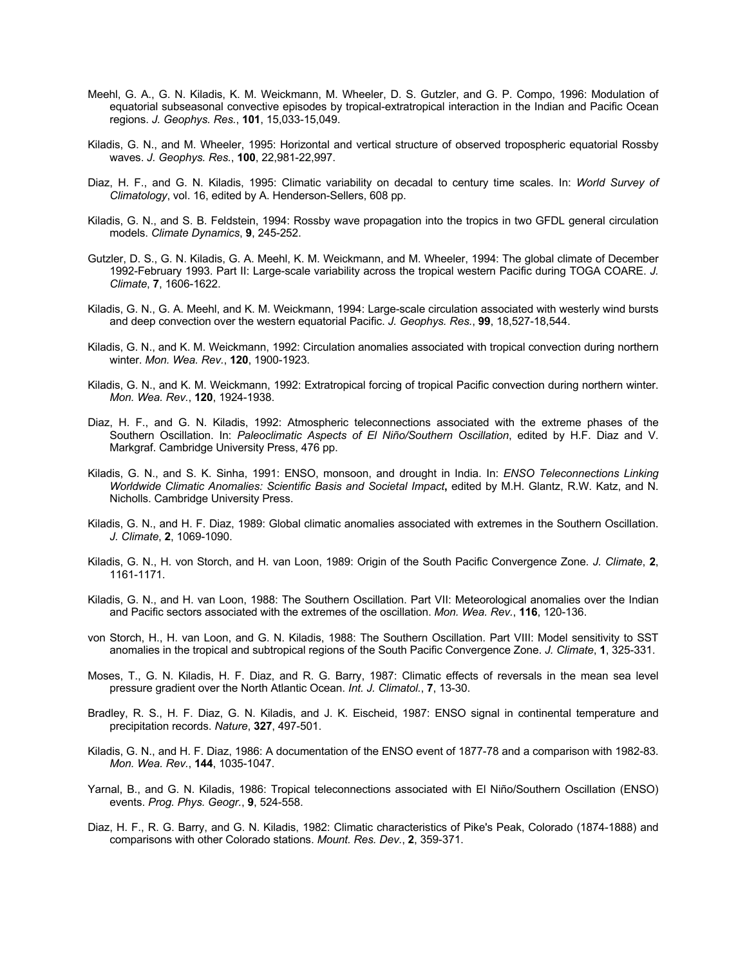- Meehl, G. A., G. N. Kiladis, K. M. Weickmann, M. Wheeler, D. S. Gutzler, and G. P. Compo, 1996: Modulation of equatorial subseasonal convective episodes by tropical-extratropical interaction in the Indian and Pacific Ocean regions. *J. Geophys. Res.*, **101**, 15,033-15,049.
- Kiladis, G. N., and M. Wheeler, 1995: Horizontal and vertical structure of observed tropospheric equatorial Rossby waves. *J. Geophys. Res.*, **100**, 22,981-22,997.
- Diaz, H. F., and G. N. Kiladis, 1995: Climatic variability on decadal to century time scales. In: *World Survey of Climatology*, vol. 16, edited by A. Henderson-Sellers, 608 pp.
- Kiladis, G. N., and S. B. Feldstein, 1994: Rossby wave propagation into the tropics in two GFDL general circulation models. *Climate Dynamics*, **9**, 245-252.
- Gutzler, D. S., G. N. Kiladis, G. A. Meehl, K. M. Weickmann, and M. Wheeler, 1994: The global climate of December 1992-February 1993. Part II: Large-scale variability across the tropical western Pacific during TOGA COARE. *J. Climate*, **7**, 1606-1622.
- Kiladis, G. N., G. A. Meehl, and K. M. Weickmann, 1994: Large-scale circulation associated with westerly wind bursts and deep convection over the western equatorial Pacific. *J. Geophys. Res.*, **99**, 18,527-18,544.
- Kiladis, G. N., and K. M. Weickmann, 1992: Circulation anomalies associated with tropical convection during northern winter. *Mon. Wea. Rev.*, **120**, 1900-1923.
- Kiladis, G. N., and K. M. Weickmann, 1992: Extratropical forcing of tropical Pacific convection during northern winter. *Mon. Wea. Rev.*, **120**, 1924-1938.
- Diaz, H. F., and G. N. Kiladis, 1992: Atmospheric teleconnections associated with the extreme phases of the Southern Oscillation. In: *Paleoclimatic Aspects of El Niño/Southern Oscillation*, edited by H.F. Diaz and V. Markgraf. Cambridge University Press, 476 pp.
- Kiladis, G. N., and S. K. Sinha, 1991: ENSO, monsoon, and drought in India. In: *ENSO Teleconnections Linking Worldwide Climatic Anomalies: Scientific Basis and Societal Impact***,** edited by M.H. Glantz, R.W. Katz, and N. Nicholls. Cambridge University Press.
- Kiladis, G. N., and H. F. Diaz, 1989: Global climatic anomalies associated with extremes in the Southern Oscillation. *J. Climate*, **2**, 1069-1090.
- Kiladis, G. N., H. von Storch, and H. van Loon, 1989: Origin of the South Pacific Convergence Zone. *J. Climate*, **2**, 1161-1171.
- Kiladis, G. N., and H. van Loon, 1988: The Southern Oscillation. Part VII: Meteorological anomalies over the Indian and Pacific sectors associated with the extremes of the oscillation. *Mon. Wea. Rev.*, **116**, 120-136.
- von Storch, H., H. van Loon, and G. N. Kiladis, 1988: The Southern Oscillation. Part VIII: Model sensitivity to SST anomalies in the tropical and subtropical regions of the South Pacific Convergence Zone. *J. Climate*, **1**, 325-331.
- Moses, T., G. N. Kiladis, H. F. Diaz, and R. G. Barry, 1987: Climatic effects of reversals in the mean sea level pressure gradient over the North Atlantic Ocean. *Int. J. Climatol.*, **7**, 13-30.
- Bradley, R. S., H. F. Diaz, G. N. Kiladis, and J. K. Eischeid, 1987: ENSO signal in continental temperature and precipitation records. *Nature*, **327**, 497-501.
- Kiladis, G. N., and H. F. Diaz, 1986: A documentation of the ENSO event of 1877-78 and a comparison with 1982-83. *Mon. Wea. Rev.*, **144**, 1035-1047.
- Yarnal, B., and G. N. Kiladis, 1986: Tropical teleconnections associated with El Niño/Southern Oscillation (ENSO) events. *Prog. Phys. Geogr.*, **9**, 524-558.
- Diaz, H. F., R. G. Barry, and G. N. Kiladis, 1982: Climatic characteristics of Pike's Peak, Colorado (1874-1888) and comparisons with other Colorado stations. *Mount. Res. Dev.*, **2**, 359-371.